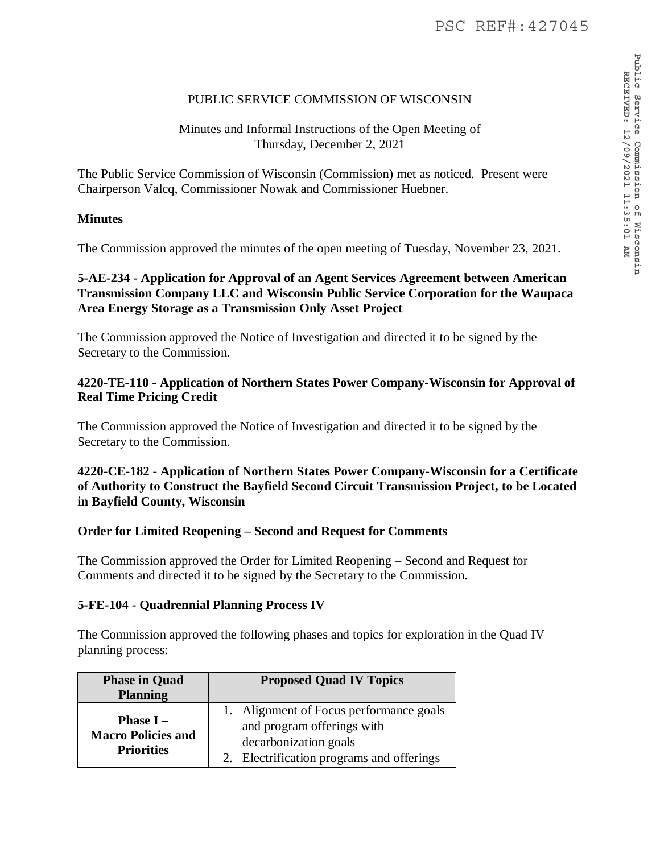# PUBLIC SERVICE COMMISSION OF WISCONSIN

## Minutes and Informal Instructions of the Open Meeting of Thursday, December 2, 2021

The Public Service Commission of Wisconsin (Commission) met as noticed. Present were Chairperson Valcq, Commissioner Nowak and Commissioner Huebner.

### **Minutes**

The Commission approved the minutes of the open meeting of Tuesday, November 23, 2021.

## **5-AE-234 - Application for Approval of an Agent Services Agreement between American Transmission Company LLC and Wisconsin Public Service Corporation for the Waupaca Area Energy Storage as a Transmission Only Asset Project**

The Commission approved the Notice of Investigation and directed it to be signed by the Secretary to the Commission.

### **4220-TE-110 - Application of Northern States Power Company-Wisconsin for Approval of Real Time Pricing Credit**

The Commission approved the Notice of Investigation and directed it to be signed by the Secretary to the Commission.

**4220-CE-182 - Application of Northern States Power Company-Wisconsin for a Certificate of Authority to Construct the Bayfield Second Circuit Transmission Project, to be Located in Bayfield County, Wisconsin** 

### **Order for Limited Reopening – Second and Request for Comments**

The Commission approved the Order for Limited Reopening – Second and Request for Comments and directed it to be signed by the Secretary to the Commission.

### **5-FE-104 - Quadrennial Planning Process IV**

The Commission approved the following phases and topics for exploration in the Quad IV planning process:

| <b>Phase in Quad</b><br><b>Planning</b>                              | <b>Proposed Quad IV Topics</b>                                                                                                           |
|----------------------------------------------------------------------|------------------------------------------------------------------------------------------------------------------------------------------|
| <b>Phase I</b> $-$<br><b>Macro Policies and</b><br><b>Priorities</b> | 1. Alignment of Focus performance goals<br>and program offerings with<br>decarbonization goals<br>Electrification programs and offerings |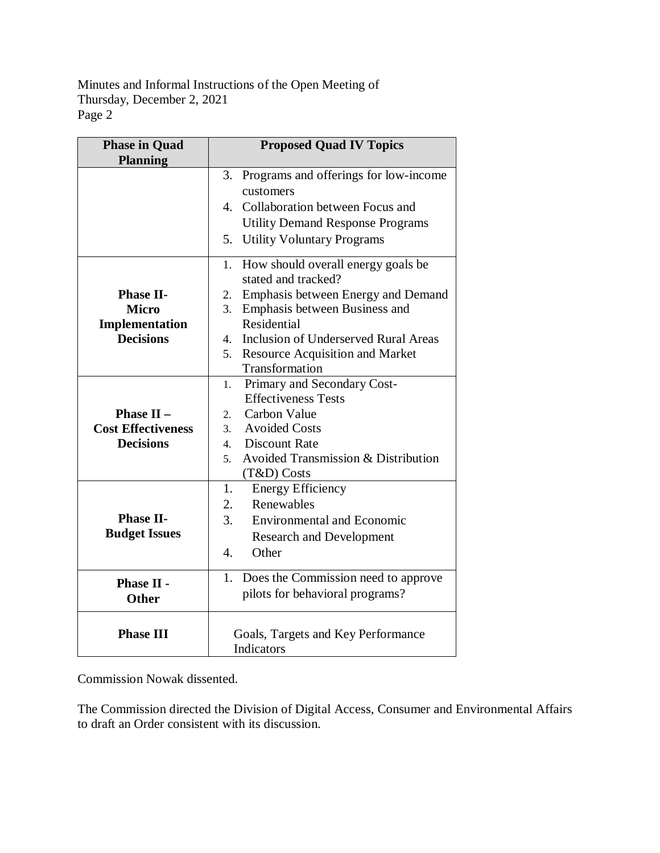Minutes and Informal Instructions of the Open Meeting of Thursday, December 2, 2021 Page 2

| <b>Proposed Quad IV Topics</b>                       |
|------------------------------------------------------|
|                                                      |
| Programs and offerings for low-income<br>3.          |
| customers                                            |
| Collaboration between Focus and<br>4.                |
| <b>Utility Demand Response Programs</b>              |
| 5.<br><b>Utility Voluntary Programs</b>              |
| How should overall energy goals be<br>1.             |
| stated and tracked?                                  |
| Emphasis between Energy and Demand<br>2.             |
| 3.<br>Emphasis between Business and                  |
| Residential                                          |
| Inclusion of Underserved Rural Areas<br>$4_{\cdot}$  |
| <b>Resource Acquisition and Market</b><br>5.         |
| Transformation                                       |
| Primary and Secondary Cost-<br>1.                    |
| <b>Effectiveness Tests</b>                           |
| Carbon Value<br>2.                                   |
| <b>Avoided Costs</b><br>3 <sub>1</sub>               |
| <b>Discount Rate</b><br>$4_{\cdot}$                  |
| <b>Avoided Transmission &amp; Distribution</b><br>5. |
| (T&D) Costs                                          |
| 1.<br><b>Energy Efficiency</b>                       |
| Renewables<br>2.                                     |
| 3.<br><b>Environmental and Economic</b>              |
| <b>Research and Development</b>                      |
| $\overline{4}$ .<br>Other                            |
| Does the Commission need to approve<br>1.            |
| pilots for behavioral programs?                      |
|                                                      |
|                                                      |
| Goals, Targets and Key Performance<br>Indicators     |
|                                                      |

Commission Nowak dissented.

The Commission directed the Division of Digital Access, Consumer and Environmental Affairs to draft an Order consistent with its discussion.